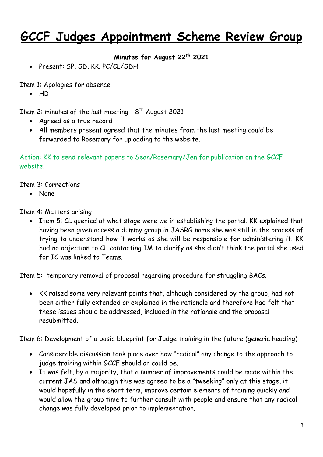## **GCCF Judges Appointment Scheme Review Group**

**Minutes for August 22th 2021** 

• Present: SP, SD, KK. PC/CL/SDH

Item 1: Apologies for absence

 $\bullet$  HD

Item 2: minutes of the last meeting -  $8^{\sf th}$  August 2021

- Agreed as a true record
- All members present agreed that the minutes from the last meeting could be forwarded to Rosemary for uploading to the website.

Action: KK to send relevant papers to Sean/Rosemary/Jen for publication on the GCCF website.

Item 3: Corrections

None

Item 4: Matters arising

• Item 5: CL queried at what stage were we in establishing the portal. KK explained that having been given access a dummy group in JASRG name she was still in the process of trying to understand how it works as she will be responsible for administering it. KK had no objection to CL contacting IM to clarify as she didn't think the portal she used for IC was linked to Teams.

Item 5: temporary removal of proposal regarding procedure for struggling BACs.

 KK raised some very relevant points that, although considered by the group, had not been either fully extended or explained in the rationale and therefore had felt that these issues should be addressed, included in the rationale and the proposal resubmitted.

Item 6: Development of a basic blueprint for Judge training in the future (generic heading)

- Considerable discussion took place over how "radical" any change to the approach to judge training within GCCF should or could be.
- It was felt, by a majority, that a number of improvements could be made within the current JAS and although this was agreed to be a "tweeking" only at this stage, it would hopefully in the short term, improve certain elements of training quickly and would allow the group time to further consult with people and ensure that any radical change was fully developed prior to implementation.